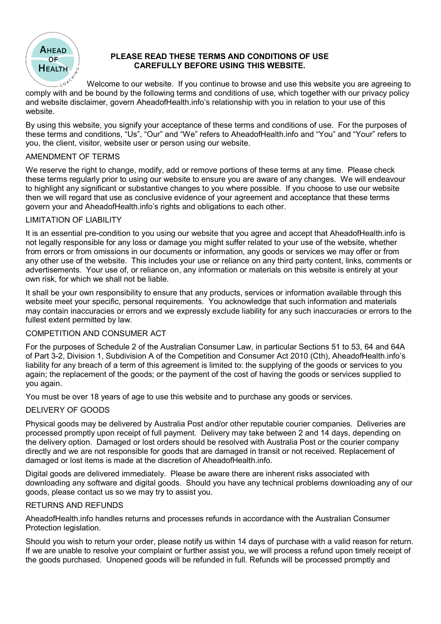

# PLEASE READ THESE TERMS AND CONDITIONS OF USE CAREFULLY BEFORE USING THIS WEBSITE.

Welcome to our website. If you continue to browse and use this website you are agreeing to comply with and be bound by the following terms and conditions of use, which together with our privacy policy comply with and be bound by the following terms and conditions of use, which together with our privacy policy comply with and be bound by the following terms and conditions of use, which together with our privacy policy<br>and website disclaimer, govern AheadofHealth.info's relationship with you in relation to your use of this website.

By using this website, you signify your acceptance of these terms and conditions of use. For the purposes of By using this website, you signify your acceptance of these terms and conditions of use. For the purposes of<br>these terms and conditions, "Us", "Our" and "We" refers to AheadofHealth.info and "You" and "Your" refers to you, the client, visitor, website user or person using our website.

## AMENDMENT OF TERMS

We reserve the right to change, modify, add or remove portions of these terms at any time. We reserve the right to change, modify, add or remove portions of these terms at any time. Please check these terms regularly prior to using our website to ensure you are aware of any changes. these terms regularly prior to using our website to ensure you are aware of any changes. We will endeavour We reserve the right to change, modify, add or remove portions of these terms at any time. Please check<br>these terms regularly prior to using our website to ensure you are aware of any changes. We will endeavour<br>to highli then we will regard that use as conclusive evidence of your agreement and acceptance that these terms<br>govern your and AheadofHealth.info's rights and obligations to each other. govern your and AheadofHealth.info's rights and obligations to each other.

# LIMITATION OF LIABILITY

It is an essential pre-condition to you using our website that you agree and accept that AheadofHealth.info is not legally responsible for any loss or damage you might suffer related to your use of the webs not legally responsible for any loss or damage you might suffer related to your use of the website, whether from errors or from omissions in our documents or information, any goods or services we may offer or from from errors or from omissions in our documents or information, any goods or services we may offer or from any other use of the website. This includes your use or reliance on any third party content, links, comments or advertisements. Your use of, or reliance on, any information or materials on this website is entirely at your own risk, for which we shall not be liable. It is an essential pre-condition to you using our website that you agree and accept that AheadofHealth.info i<br>not legally responsible for any loss or damage you might suffer related to your use of the website, whether<br>from **PERSANT SETTER AND CONSUMER THIS WE THEN SETTER AND CONSUMER SPECTER (SINGTIFIES OF THE WE ARE THEST WE HAVE A SURE THE WAT A CONSUMER SURE WAS TRUST WAT AND CONSUMER WAS TRUST WAT AND END ON THE WAT AND CONSUMER WAS TRUS** This includes your use or reliance on any third party content, links, comments or

It shall be your own responsibility to ensure that any products, services or information available through this It shall be your own responsibility to ensure that any products, services or information available through this It shall be your own responsibility to ensure that any products, services or information available through this<br>website meet your specific, personal requirements. You acknowledge that such information and materials may contain inaccuracies or errors and we expressly exclude liability for any such inaccuracies or errors to the fullest extent permitted by law.

# COMPETITION AND CONSUMER ACT

For the purposes of Schedule 2 of the Australian Consumer Law, in particular Sections 51 to 53, 64 and 64A For the purposes of Schedule 2 of the Australian Consumer Law, in particular Sections 51 to 53, 64 and 64A of Part 3-2, Division 1, Subdivision A of the Competition and Consumer Act 2010 (Cth), AheadofHealth.info's liability for any breach of a term of this agreement is limited to: the supplying of the goods or services to you COMPETITION AND CONSUMER ACT<br>For the purposes of Schedule 2 of the Australian Consumer Law, in particular Sections 51 to 53, 64 and 64A<br>of Part 3-2, Division 1, Subdivision A of the Competition and Consumer Act 2010 (Cth), you again.

You must be over 18 years of age to use this website and to purchase any goods or services. You must be over 18 years of age to use this website and to purchase any goods or services.

## DELIVERY OF GOODS

You must be over 18 years of age to use this website and to purchase any goods or services.<br>DELIVERY OF GOODS<br>Physical goods may be delivered by Australia Post and/or other reputable courier companies. Deliveries are processed promptly upon receipt of full payment. Delivery may take between 2 and 14 days, depending on the delivery option. Damaged or lost orders should be resolved with Australia Post or the courier company Damaged or lost orders should be resolved with Australia Post or the courier company directly and we are not responsible for goods that are damaged in transit or not received. Replacement of are not responsible for goods that are damaged in transit or not received. Replacement of directly and we are not responsible for goods that are damaged in trans<br>damaged or lost items is made at the discretion of AheadofHealth.info.

Digital goods are delivered immediately. Please be aware there are inherent risks associated wi Please be aware there are inherent risks associated with downloading any software and digital goods. Should you have any technical problems downloading any of our goods, please contact us so we may try to assist you.

## RETURNS AND REFUNDS

AheadofHealth.info handles returns and processes refunds in accordance with the Australian Consumer Protection legislation.

Should you wish to return your order, please notify us within 14 days of purchase with a valid reason for return. If we are unable to resolve your complaint or further assist you, we will process a refund If we are unable to resolve your complaint or further assist you, we will process a refund upon timely receipt of the goods purchased. Unopened goods will be refunded in full. Refunds will be processed promptly and Unopened goods will be refunded in full. Refunds will be processed promptly and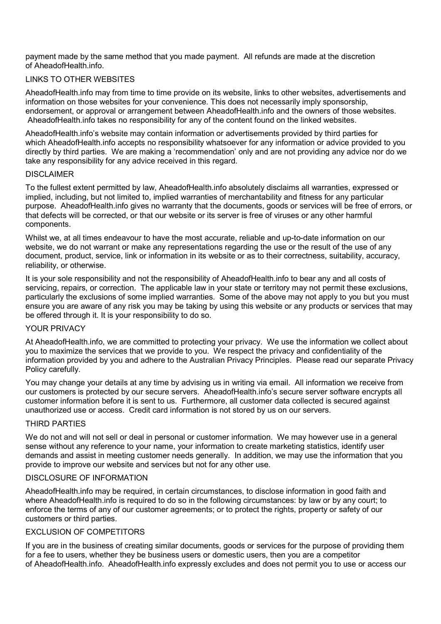payment made by the same method that you made payment. All refunds are made at the discretion of AheadofHealth.info.

## LINKS TO OTHER WEBSITES

AheadofHealth.info may from time to time provide on its website, links to other websites, advertisements and information on those websites for your convenience. This does not necessarily imply sponsorship, endorsement, or approval or arrangement between AheadofHealth.info and the owners of those websites. AheadofHealth.info takes no responsibility for any of the content found on the linked websites.

AheadofHealth.info's website may contain information or advertisements provided by third parties for which AheadofHealth.info accepts no responsibility whatsoever for any information or advice provided to you directly by third parties. We are making a 'recommendation' only and are not providing any advice nor do we take any responsibility for any advice received in this regard.

#### DISCLAIMER

To the fullest extent permitted by law, AheadofHealth.info absolutely disclaims all warranties, expressed or implied, including, but not limited to, implied warranties of merchantability and fitness for any particular purpose. AheadofHealth.info gives no warranty that the documents, goods or services will be free of errors, or that defects will be corrected, or that our website or its server is free of viruses or any other harmful components.

Whilst we, at all times endeavour to have the most accurate, reliable and up-to-date information on our website, we do not warrant or make any representations regarding the use or the result of the use of any document, product, service, link or information in its website or as to their correctness, suitability, accuracy, reliability, or otherwise.

It is your sole responsibility and not the responsibility of AheadofHealth.info to bear any and all costs of servicing, repairs, or correction. The applicable law in your state or territory may not permit these exclusions, particularly the exclusions of some implied warranties. Some of the above may not apply to you but you must ensure you are aware of any risk you may be taking by using this website or any products or services that may be offered through it. It is your responsibility to do so.

#### YOUR PRIVACY

At AheadofHealth.info, we are committed to protecting your privacy. We use the information we collect about you to maximize the services that we provide to you. We respect the privacy and confidentiality of the information provided by you and adhere to the Australian Privacy Principles. Please read our separate Privacy Policy carefully.

You may change your details at any time by advising us in writing via email. All information we receive from our customers is protected by our secure servers. AheadofHealth.info's secure server software encrypts all customer information before it is sent to us. Furthermore, all customer data collected is secured against unauthorized use or access. Credit card information is not stored by us on our servers.

#### THIRD PARTIES

We do not and will not sell or deal in personal or customer information. We may however use in a general sense without any reference to your name, your information to create marketing statistics, identify user demands and assist in meeting customer needs generally. In addition, we may use the information that you provide to improve our website and services but not for any other use.

#### DISCLOSURE OF INFORMATION

AheadofHealth.info may be required, in certain circumstances, to disclose information in good faith and where AheadofHealth.info is required to do so in the following circumstances: by law or by any court; to enforce the terms of any of our customer agreements; or to protect the rights, property or safety of our customers or third parties.

### **EXCLUSION OF COMPETITORS**

If you are in the business of creating similar documents, goods or services for the purpose of providing them for a fee to users, whether they be business users or domestic users, then you are a competitor of AheadofHealth.info. AheadofHealth.info expressly excludes and does not permit you to use or access our